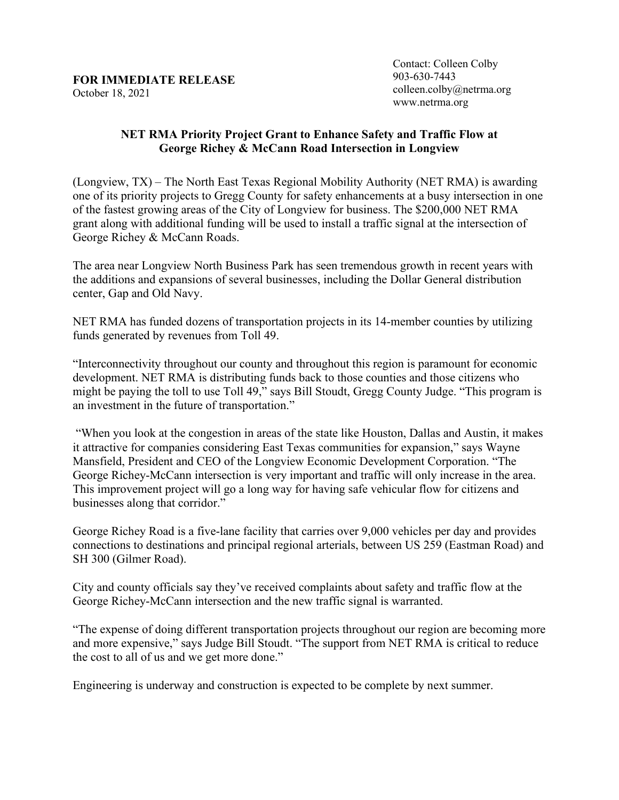## **FOR IMMEDIATE RELEASE**  October 18, 2021

Contact: Colleen Colby 903-630-7443 colleen.colby@netrma.org www.netrma.org

## **NET RMA Priority Project Grant to Enhance Safety and Traffic Flow at George Richey & McCann Road Intersection in Longview**

(Longview, TX) – The North East Texas Regional Mobility Authority (NET RMA) is awarding one of its priority projects to Gregg County for safety enhancements at a busy intersection in one of the fastest growing areas of the City of Longview for business. The \$200,000 NET RMA grant along with additional funding will be used to install a traffic signal at the intersection of George Richey & McCann Roads.

The area near Longview North Business Park has seen tremendous growth in recent years with the additions and expansions of several businesses, including the Dollar General distribution center, Gap and Old Navy.

NET RMA has funded dozens of transportation projects in its 14-member counties by utilizing funds generated by revenues from Toll 49.

"Interconnectivity throughout our county and throughout this region is paramount for economic development. NET RMA is distributing funds back to those counties and those citizens who might be paying the toll to use Toll 49," says Bill Stoudt, Gregg County Judge. "This program is an investment in the future of transportation."

"When you look at the congestion in areas of the state like Houston, Dallas and Austin, it makes it attractive for companies considering East Texas communities for expansion," says Wayne Mansfield, President and CEO of the Longview Economic Development Corporation. "The George Richey-McCann intersection is very important and traffic will only increase in the area. This improvement project will go a long way for having safe vehicular flow for citizens and businesses along that corridor."

George Richey Road is a five-lane facility that carries over 9,000 vehicles per day and provides connections to destinations and principal regional arterials, between US 259 (Eastman Road) and SH 300 (Gilmer Road).

City and county officials say they've received complaints about safety and traffic flow at the George Richey-McCann intersection and the new traffic signal is warranted.

"The expense of doing different transportation projects throughout our region are becoming more and more expensive," says Judge Bill Stoudt. "The support from NET RMA is critical to reduce the cost to all of us and we get more done."

Engineering is underway and construction is expected to be complete by next summer.